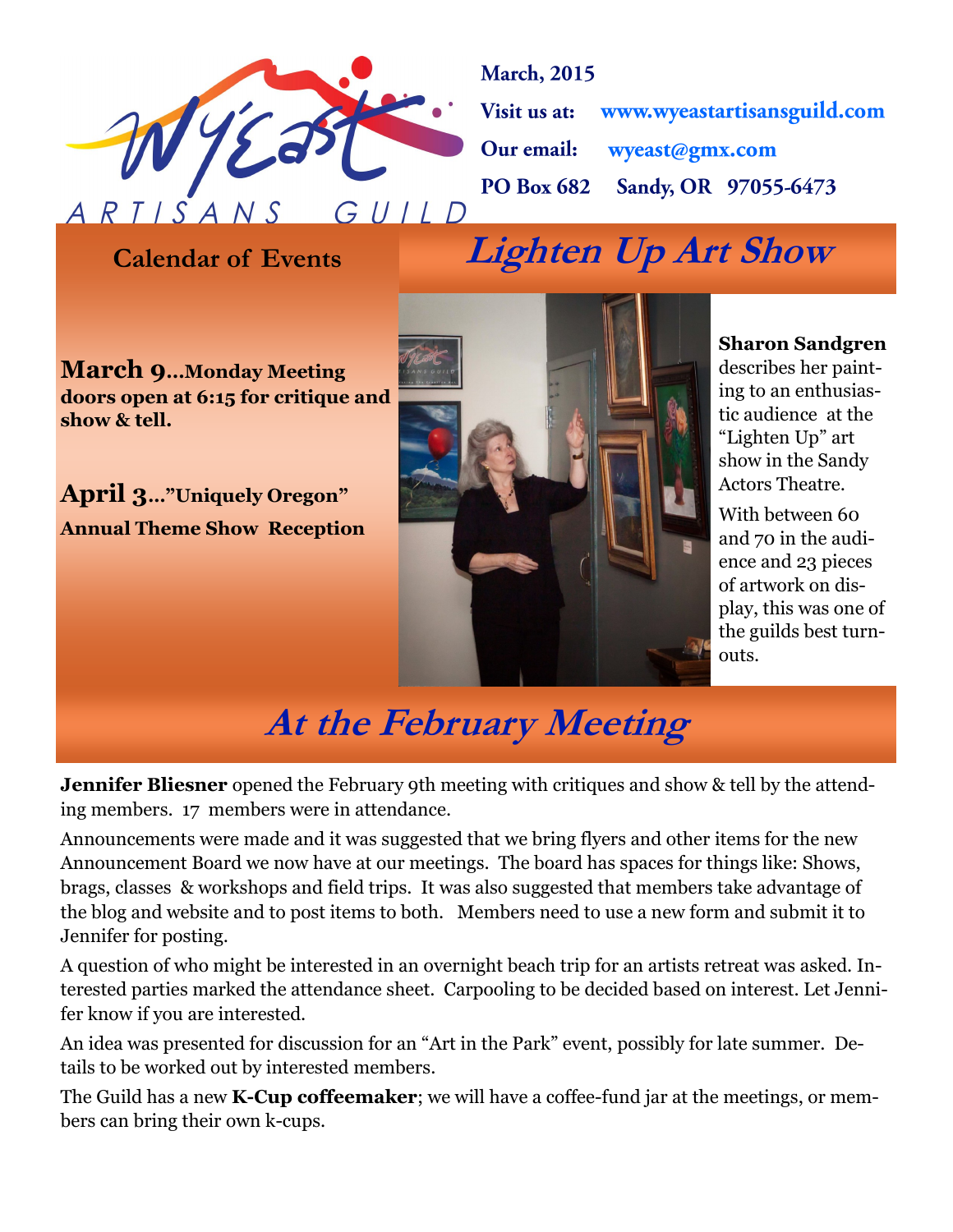

**March**, 2015 Visit us at: www.wyeastartisansguild.com wyeast@gmx.com Our email: Sandy, OR 97055-6473 **PO Box 682** 

**Calendar of Events Lighten Up Art Show** 

**March 9...Monday Meeting doors open at 6:15 for critique and show & tell.**

**April 3…"Uniquely Oregon" Annual Theme Show Reception**



#### **Sharon Sandgren**

describes her painting to an enthusiastic audience at the "Lighten Up" art show in the Sandy Actors Theatre.

With between 60 and 70 in the audience and 23 pieces of artwork on display, this was one of the guilds best turnouts.

### **At the February Meeting**

**Jennifer Bliesner** opened the February 9th meeting with critiques and show & tell by the attending members. 17 members were in attendance.

Announcements were made and it was suggested that we bring flyers and other items for the new Announcement Board we now have at our meetings. The board has spaces for things like: Shows, brags, classes & workshops and field trips. It was also suggested that members take advantage of the blog and website and to post items to both. Members need to use a new form and submit it to Jennifer for posting.

A question of who might be interested in an overnight beach trip for an artists retreat was asked. Interested parties marked the attendance sheet. Carpooling to be decided based on interest. Let Jennifer know if you are interested.

An idea was presented for discussion for an "Art in the Park" event, possibly for late summer. Details to be worked out by interested members.

The Guild has a new **K-Cup coffeemaker**; we will have a coffee-fund jar at the meetings, or members can bring their own k-cups.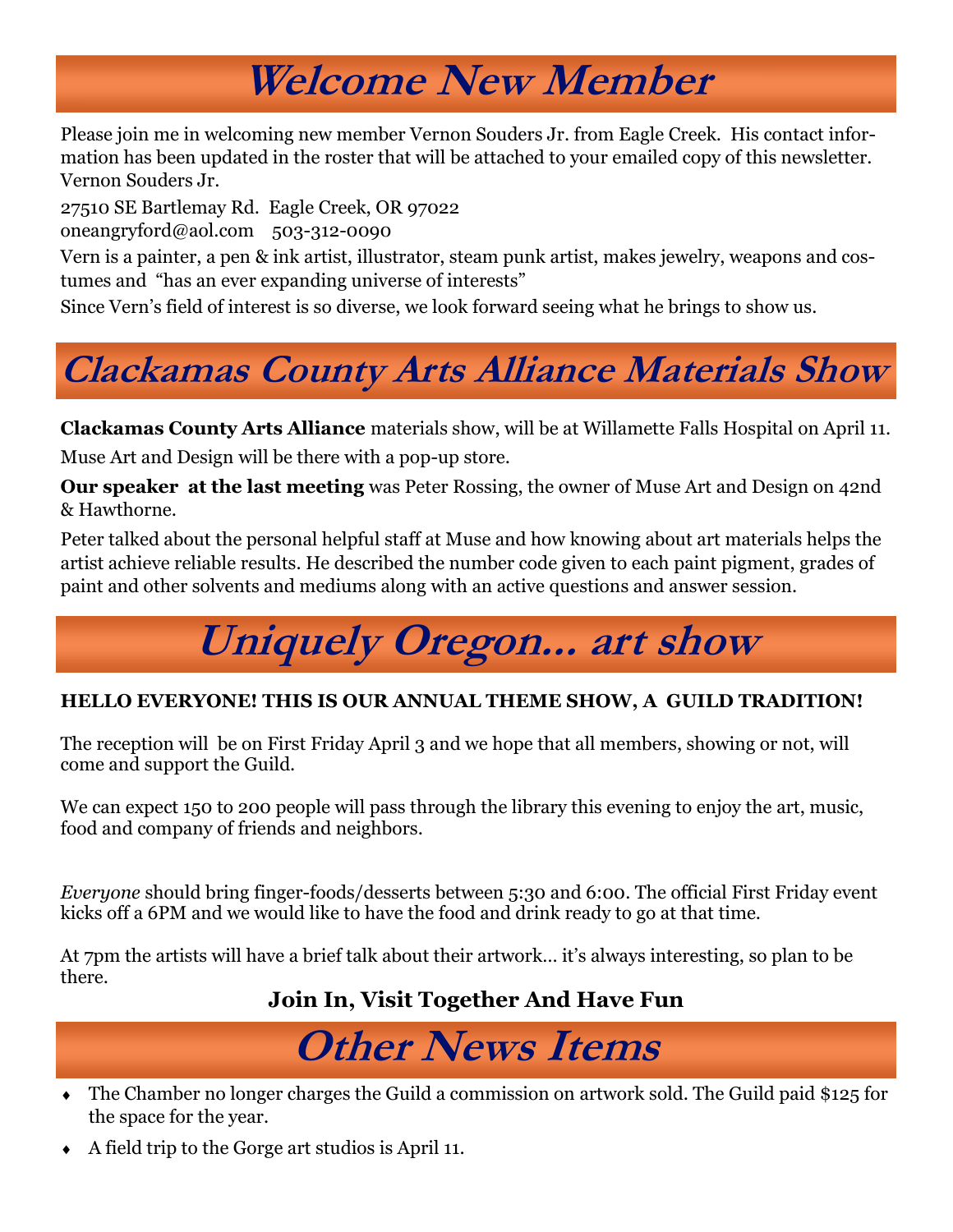## **Welcome New Member**

Please join me in welcoming new member Vernon Souders Jr. from Eagle Creek. His contact information has been updated in the roster that will be attached to your emailed copy of this newsletter. Vernon Souders Jr.

27510 SE Bartlemay Rd. Eagle Creek, OR 97022

oneangryford@aol.com 503-312-0090

Vern is a painter, a pen & ink artist, illustrator, steam punk artist, makes jewelry, weapons and costumes and "has an ever expanding universe of interests"

Since Vern's field of interest is so diverse, we look forward seeing what he brings to show us.

# **Clackamas County Arts Alliance Materials Show**

**Clackamas County Arts Alliance** materials show, will be at Willamette Falls Hospital on April 11.

Muse Art and Design will be there with a pop-up store.

**Our speaker at the last meeting** was Peter Rossing, the owner of Muse Art and Design on 42nd & Hawthorne.

Peter talked about the personal helpful staff at Muse and how knowing about art materials helps the artist achieve reliable results. He described the number code given to each paint pigment, grades of paint and other solvents and mediums along with an active questions and answer session.

# **Uniquely Oregon... art show**

#### **HELLO EVERYONE! THIS IS OUR ANNUAL THEME SHOW, A GUILD TRADITION!**

The reception will be on First Friday April 3 and we hope that all members, showing or not, will come and support the Guild.

We can expect 150 to 200 people will pass through the library this evening to enjoy the art, music, food and company of friends and neighbors.

*Everyone* should bring finger-foods/desserts between 5:30 and 6:00. The official First Friday event kicks off a 6PM and we would like to have the food and drink ready to go at that time.

At 7pm the artists will have a brief talk about their artwork… it's always interesting, so plan to be there.

#### **Join In, Visit Together And Have Fun**

## **Other News Items**

- The Chamber no longer charges the Guild a commission on artwork sold. The Guild paid \$125 for the space for the year.
- A field trip to the Gorge art studios is April 11.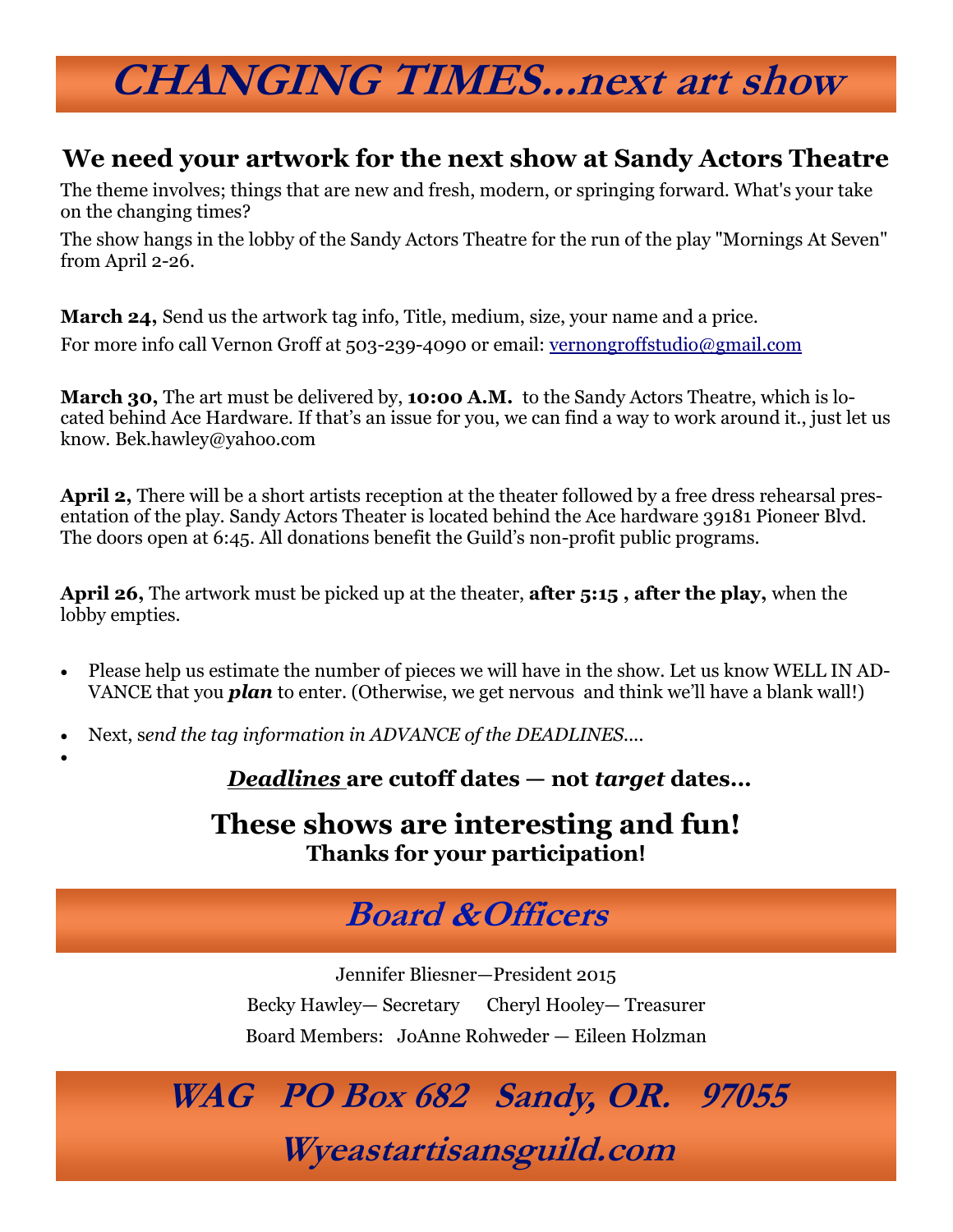## **CHANGING TIMES...next art show**

#### **We need your artwork for the next show at Sandy Actors Theatre**

The theme involves; things that are new and fresh, modern, or springing forward. What's your take on the changing times?

The show hangs in the lobby of the Sandy Actors Theatre for the run of the play "Mornings At Seven" from April 2-26.

**March 24,** Send us the artwork tag info, Title, medium, size, your name and a price. For more info call Vernon Groff at 503-239-4090 or email: [vernongroffstudio@gmail.com](mailto:vernongroffstudio@gmail.com)

**March 30,** The art must be delivered by, **10:00 A.M.** to the Sandy Actors Theatre, which is located behind Ace Hardware. If that's an issue for you, we can find a way to work around it., just let us know. Bek.hawley@yahoo.com

**April 2,** There will be a short artists reception at the theater followed by a free dress rehearsal presentation of the play. Sandy Actors Theater is located behind the Ace hardware 39181 Pioneer Blvd. The doors open at 6:45. All donations benefit the Guild's non-profit public programs.

**April 26,** The artwork must be picked up at the theater, **after 5:15 , after the play,** when the lobby empties.

- Please help us estimate the number of pieces we will have in the show. Let us know WELL IN AD-VANCE that you *plan* to enter. (Otherwise, we get nervous and think we'll have a blank wall!)
- Next, s*end the tag information in ADVANCE of the DEADLINES....*

 $\bullet$ 

*Deadlines* **are cutoff dates — not** *target* **dates...**

#### **These shows are interesting and fun! Thanks for your participation!**

### **Board &Officers**

Jennifer Bliesner—President 2015 Becky Hawley— Secretary Cheryl Hooley— Treasurer Board Members: JoAnne Rohweder — Eileen Holzman

### **WAG PO Box 682 Sandy, OR. 97055 Wyeastartisansguild.com**